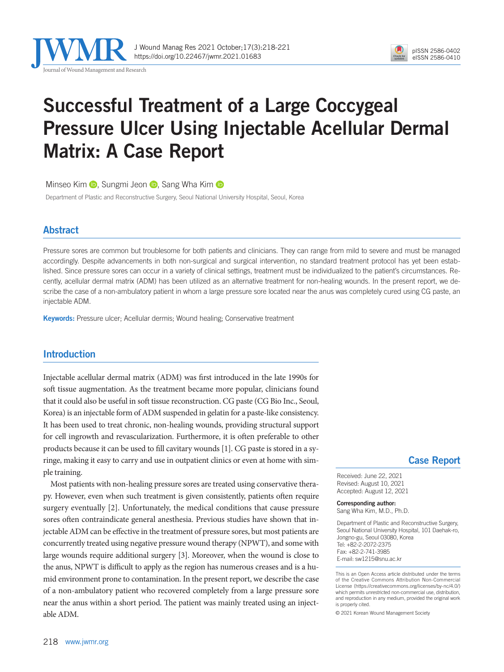

J Wound Manag Res 2021 October;17(3):218-221 https://doi.org/10.22467/jwmr.2021.01683



# Successful Treatment of a Large Coccygeal Pressure Ulcer Using Injectable Acellular Dermal Matrix: A Case Report

MinseoKim **D**, Sungmi Jeon **D**, Sang Wha Kim **D** 

Department of Plastic and Reconstructive Surgery, Seoul National University Hospital, Seoul, Korea

## Abstract

Pressure sores are common but troublesome for both patients and clinicians. They can range from mild to severe and must be managed accordingly. Despite advancements in both non-surgical and surgical intervention, no standard treatment protocol has yet been established. Since pressure sores can occur in a variety of clinical settings, treatment must be individualized to the patient's circumstances. Recently, acellular dermal matrix (ADM) has been utilized as an alternative treatment for non-healing wounds. In the present report, we describe the case of a non-ambulatory patient in whom a large pressure sore located near the anus was completely cured using CG paste, an injectable ADM.

Keywords: Pressure ulcer; Acellular dermis; Wound healing; Conservative treatment

## Introduction

Injectable acellular dermal matrix (ADM) was first introduced in the late 1990s for soft tissue augmentation. As the treatment became more popular, clinicians found that it could also be useful in soft tissue reconstruction. CG paste (CG Bio Inc., Seoul, Korea) is an injectable form of ADM suspended in gelatin for a paste-like consistency. It has been used to treat chronic, non-healing wounds, providing structural support for cell ingrowth and revascularization. Furthermore, it is often preferable to other products because it can be used to fill cavitary wounds [1]. CG paste is stored in a syringe, making it easy to carry and use in outpatient clinics or even at home with simple training.

Most patients with non-healing pressure sores are treated using conservative therapy. However, even when such treatment is given consistently, patients often require surgery eventually [2]. Unfortunately, the medical conditions that cause pressure sores often contraindicate general anesthesia. Previous studies have shown that injectable ADM can be effective in the treatment of pressure sores, but most patients are concurrently treated using negative pressure wound therapy (NPWT), and some with large wounds require additional surgery [3]. Moreover, when the wound is close to the anus, NPWT is difficult to apply as the region has numerous creases and is a humid environment prone to contamination. In the present report, we describe the case of a non-ambulatory patient who recovered completely from a large pressure sore near the anus within a short period. The patient was mainly treated using an injectable ADM.

## Case Report

Received: June 22, 2021 Revised: August 10, 2021 Accepted: August 12, 2021

Corresponding author: Sang Wha Kim, M.D., Ph.D.

Department of Plastic and Reconstructive Surgery, Seoul National University Hospital, 101 Daehak-ro, Jongno-gu, Seoul 03080, Korea Tel: +82-2-2072-2375 Fax: +82-2-741-3985 E-mail: sw1215@snu.ac.kr

This is an Open Access article distributed under the terms of the Creative Commons Attribution Non-Commercial License (https://creativecommons.org/licenses/by-nc/4.0/) which permits unrestricted non-commercial use, distribution, and reproduction in any medium, provided the original work is properly cited.

© 2021 Korean Wound Management Society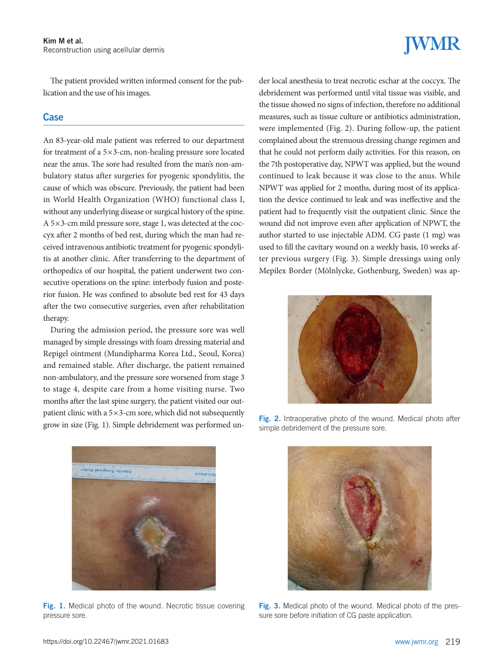The patient provided written informed consent for the publication and the use of his images.

### **Case**

An 83-year-old male patient was referred to our department for treatment of a 5×3-cm, non-healing pressure sore located near the anus. The sore had resulted from the man's non-ambulatory status after surgeries for pyogenic spondylitis, the cause of which was obscure. Previously, the patient had been in World Health Organization (WHO) functional class I, without any underlying disease or surgical history of the spine. A 5×3-cm mild pressure sore, stage 1, was detected at the coccyx after 2 months of bed rest, during which the man had received intravenous antibiotic treatment for pyogenic spondylitis at another clinic. After transferring to the department of orthopedics of our hospital, the patient underwent two consecutive operations on the spine: interbody fusion and posterior fusion. He was confined to absolute bed rest for 43 days after the two consecutive surgeries, even after rehabilitation therapy.

During the admission period, the pressure sore was well managed by simple dressings with foam dressing material and Repigel ointment (Mundipharma Korea Ltd., Seoul, Korea) and remained stable. After discharge, the patient remained non-ambulatory, and the pressure sore worsened from stage 3 to stage 4, despite care from a home visiting nurse. Two months after the last spine surgery, the patient visited our outpatient clinic with a  $5\times3$ -cm sore, which did not subsequently grow in size (Fig. 1). Simple debridement was performed un-



Fig. 1. Medical photo of the wound. Necrotic tissue covering pressure sore.

# **JWMR**

der local anesthesia to treat necrotic eschar at the coccyx. The debridement was performed until vital tissue was visible, and the tissue showed no signs of infection, therefore no additional measures, such as tissue culture or antibiotics administration, were implemented (Fig. 2). During follow-up, the patient complained about the strenuous dressing change regimen and that he could not perform daily activities. For this reason, on the 7th postoperative day, NPWT was applied, but the wound continued to leak because it was close to the anus. While NPWT was applied for 2 months, during most of its application the device continued to leak and was ineffective and the patient had to frequently visit the outpatient clinic. Since the wound did not improve even after application of NPWT, the author started to use injectable ADM. CG paste (1 mg) was used to fill the cavitary wound on a weekly basis, 10 weeks after previous surgery (Fig. 3). Simple dressings using only Mepilex Border (Mölnlycke, Gothenburg, Sweden) was ap-



Fig. 2. Intraoperative photo of the wound. Medical photo after simple debridement of the pressure sore.



Fig. 3. Medical photo of the wound. Medical photo of the pressure sore before initiation of CG paste application.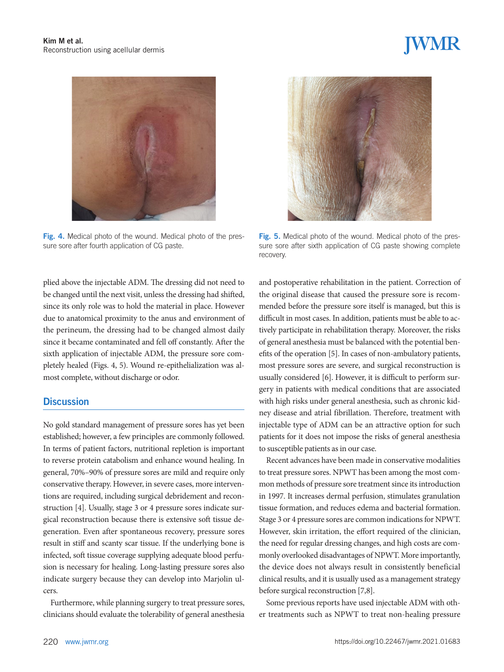

Fig. 4. Medical photo of the wound. Medical photo of the pressure sore after fourth application of CG paste.

plied above the injectable ADM. The dressing did not need to be changed until the next visit, unless the dressing had shifted, since its only role was to hold the material in place. However due to anatomical proximity to the anus and environment of the perineum, the dressing had to be changed almost daily since it became contaminated and fell off constantly. After the sixth application of injectable ADM, the pressure sore completely healed (Figs. 4, 5). Wound re-epithelialization was almost complete, without discharge or odor.

### **Discussion**

No gold standard management of pressure sores has yet been established; however, a few principles are commonly followed. In terms of patient factors, nutritional repletion is important to reverse protein catabolism and enhance wound healing. In general, 70%–90% of pressure sores are mild and require only conservative therapy. However, in severe cases, more interventions are required, including surgical debridement and reconstruction [4]. Usually, stage 3 or 4 pressure sores indicate surgical reconstruction because there is extensive soft tissue degeneration. Even after spontaneous recovery, pressure sores result in stiff and scanty scar tissue. If the underlying bone is infected, soft tissue coverage supplying adequate blood perfusion is necessary for healing. Long-lasting pressure sores also indicate surgery because they can develop into Marjolin ulcers.

Furthermore, while planning surgery to treat pressure sores, clinicians should evaluate the tolerability of general anesthesia



Fig. 5. Medical photo of the wound. Medical photo of the pressure sore after sixth application of CG paste showing complete recovery.

and postoperative rehabilitation in the patient. Correction of the original disease that caused the pressure sore is recommended before the pressure sore itself is managed, but this is difficult in most cases. In addition, patients must be able to actively participate in rehabilitation therapy. Moreover, the risks of general anesthesia must be balanced with the potential benefits of the operation [5]. In cases of non-ambulatory patients, most pressure sores are severe, and surgical reconstruction is usually considered [6]. However, it is difficult to perform surgery in patients with medical conditions that are associated with high risks under general anesthesia, such as chronic kidney disease and atrial fibrillation. Therefore, treatment with injectable type of ADM can be an attractive option for such patients for it does not impose the risks of general anesthesia to susceptible patients as in our case.

Recent advances have been made in conservative modalities to treat pressure sores. NPWT has been among the most common methods of pressure sore treatment since its introduction in 1997. It increases dermal perfusion, stimulates granulation tissue formation, and reduces edema and bacterial formation. Stage 3 or 4 pressure sores are common indications for NPWT. However, skin irritation, the effort required of the clinician, the need for regular dressing changes, and high costs are commonly overlooked disadvantages of NPWT. More importantly, the device does not always result in consistently beneficial clinical results, and it is usually used as a management strategy before surgical reconstruction [7,8].

Some previous reports have used injectable ADM with other treatments such as NPWT to treat non-healing pressure